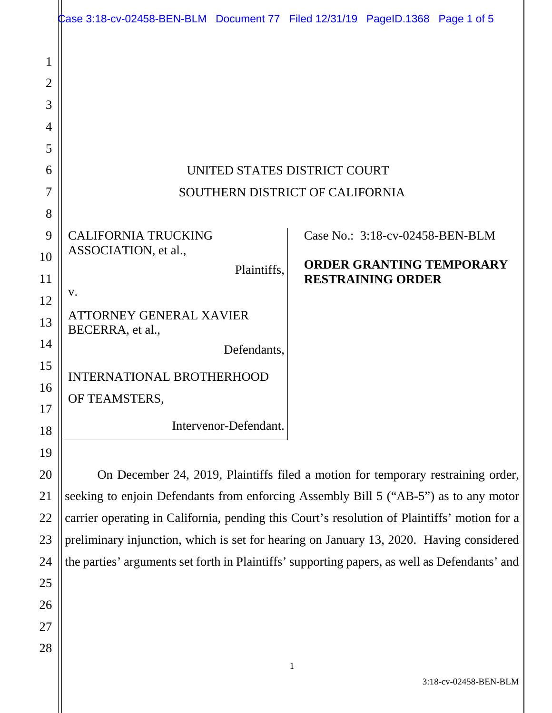| 1              |                                                                                                                                                                                          |             |   |                                 |                                 |
|----------------|------------------------------------------------------------------------------------------------------------------------------------------------------------------------------------------|-------------|---|---------------------------------|---------------------------------|
| $\overline{2}$ |                                                                                                                                                                                          |             |   |                                 |                                 |
| 3              |                                                                                                                                                                                          |             |   |                                 |                                 |
| 4              |                                                                                                                                                                                          |             |   |                                 |                                 |
| 5              |                                                                                                                                                                                          |             |   |                                 |                                 |
| 6              | UNITED STATES DISTRICT COURT                                                                                                                                                             |             |   |                                 |                                 |
| 7              | SOUTHERN DISTRICT OF CALIFORNIA                                                                                                                                                          |             |   |                                 |                                 |
| 8              |                                                                                                                                                                                          |             |   |                                 |                                 |
| 9              | <b>CALIFORNIA TRUCKING</b>                                                                                                                                                               |             |   | Case No.: 3:18-cv-02458-BEN-BLM |                                 |
| 10             | ASSOCIATION, et al.,                                                                                                                                                                     |             |   |                                 | <b>ORDER GRANTING TEMPORARY</b> |
| 11             |                                                                                                                                                                                          | Plaintiffs, |   | <b>RESTRAINING ORDER</b>        |                                 |
| 12             | V.                                                                                                                                                                                       |             |   |                                 |                                 |
| 13             | ATTORNEY GENERAL XAVIER<br>BECERRA, et al.,                                                                                                                                              |             |   |                                 |                                 |
| 14             |                                                                                                                                                                                          | Defendants, |   |                                 |                                 |
| 15             | <b>INTERNATIONAL BROTHERHOOD</b>                                                                                                                                                         |             |   |                                 |                                 |
| 16             | OF TEAMSTERS                                                                                                                                                                             |             |   |                                 |                                 |
| 17             | Intervenor-Defendant.                                                                                                                                                                    |             |   |                                 |                                 |
| 18             |                                                                                                                                                                                          |             |   |                                 |                                 |
| 19             |                                                                                                                                                                                          |             |   |                                 |                                 |
| 20             | On December 24, 2019, Plaintiffs filed a motion for temporary restraining order,                                                                                                         |             |   |                                 |                                 |
| 21             | seeking to enjoin Defendants from enforcing Assembly Bill 5 ("AB-5") as to any motor                                                                                                     |             |   |                                 |                                 |
| 22             | carrier operating in California, pending this Court's resolution of Plaintiffs' motion for a                                                                                             |             |   |                                 |                                 |
| 23<br>24       | preliminary injunction, which is set for hearing on January 13, 2020. Having considered<br>the parties' arguments set forth in Plaintiffs' supporting papers, as well as Defendants' and |             |   |                                 |                                 |
| 25             |                                                                                                                                                                                          |             |   |                                 |                                 |
| 26             |                                                                                                                                                                                          |             |   |                                 |                                 |
| 27             |                                                                                                                                                                                          |             |   |                                 |                                 |
| 28             |                                                                                                                                                                                          |             |   |                                 |                                 |
|                |                                                                                                                                                                                          |             | 1 |                                 |                                 |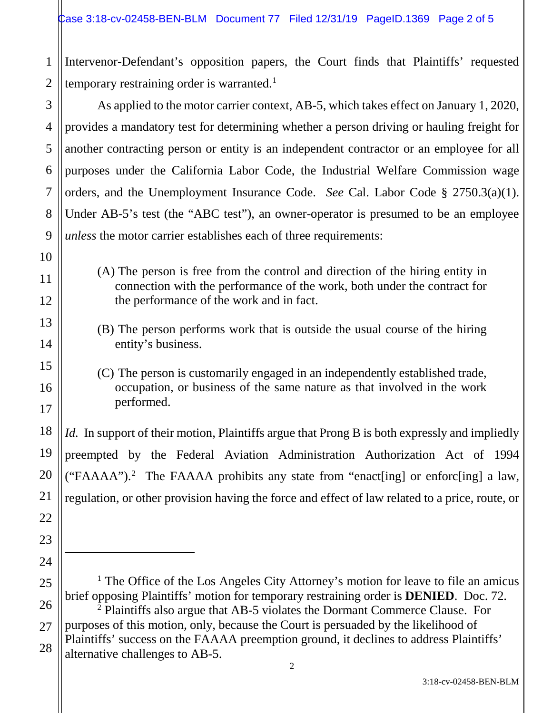1 2 Intervenor-Defendant's opposition papers, the Court finds that Plaintiffs' requested temporary restraining order is warranted.<sup>1</sup>

As applied to the motor carrier context, AB-5, which takes effect on January 1, 2020, provides a mandatory test for determining whether a person driving or hauling freight for another contracting person or entity is an independent contractor or an employee for all purposes under the California Labor Code, the Industrial Welfare Commission wage orders, and the Unemployment Insurance Code. *See* Cal. Labor Code § 2750.3(a)(1). Under AB-5's test (the "ABC test"), an owner-operator is presumed to be an employee *unless* the motor carrier establishes each of three requirements:

- (A) The person is free from the control and direction of the hiring entity in connection with the performance of the work, both under the contract for the performance of the work and in fact.
- (B) The person performs work that is outside the usual course of the hiring entity's business.
- (C) The person is customarily engaged in an independently established trade, occupation, or business of the same nature as that involved in the work performed.

*Id.* In support of their motion, Plaintiffs argue that Prong B is both expressly and impliedly preempted by the Federal Aviation Administration Authorization Act of 1994 ("FAAAA").<sup>2</sup> The FAAAA prohibits any state from "enact[ing] or enforc[ing] a law, regulation, or other provision having the force and effect of law related to a price, route, or

<sup>1</sup> The Office of the Los Angeles City Attorney's motion for leave to file an amicus brief opposing Plaintiffs' motion for temporary restraining order is **DENIED**. Doc. 72. <sup>2</sup> Plaintiffs also argue that AB-5 violates the Dormant Commerce Clause. For purposes of this motion, only, because the Court is persuaded by the likelihood of Plaintiffs' success on the FAAAA preemption ground, it declines to address Plaintiffs' alternative challenges to AB-5.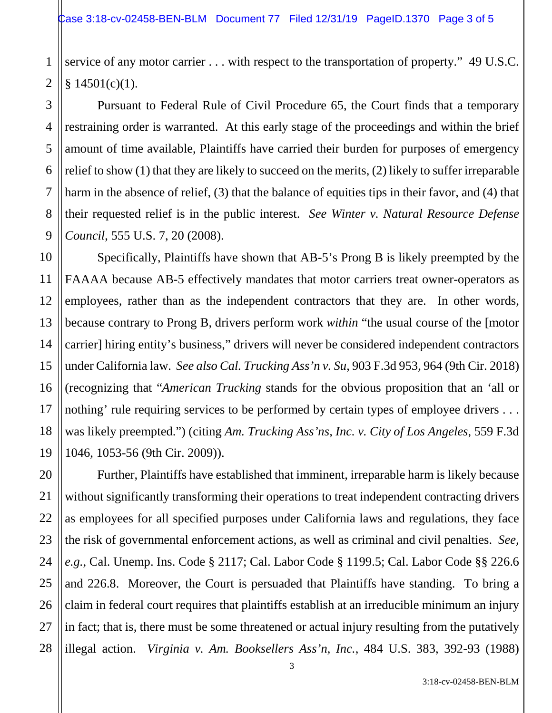1 2 service of any motor carrier . . . with respect to the transportation of property." 49 U.S.C.  $§ 14501(c)(1).$ 

3

4

5

6

7

8

9

11

17

21

Pursuant to Federal Rule of Civil Procedure 65, the Court finds that a temporary restraining order is warranted. At this early stage of the proceedings and within the brief amount of time available, Plaintiffs have carried their burden for purposes of emergency relief to show (1) that they are likely to succeed on the merits, (2) likely to suffer irreparable harm in the absence of relief, (3) that the balance of equities tips in their favor, and (4) that their requested relief is in the public interest. *See Winter v. Natural Resource Defense Council*, 555 U.S. 7, 20 (2008).

10 12 13 14 15 16 18 19 Specifically, Plaintiffs have shown that AB-5's Prong B is likely preempted by the FAAAA because AB-5 effectively mandates that motor carriers treat owner-operators as employees, rather than as the independent contractors that they are. In other words, because contrary to Prong B, drivers perform work *within* "the usual course of the [motor carrier] hiring entity's business," drivers will never be considered independent contractors under California law. *See also Cal. Trucking Ass'n v. Su*, 903 F.3d 953, 964 (9th Cir. 2018) (recognizing that "*American Trucking* stands for the obvious proposition that an 'all or nothing' rule requiring services to be performed by certain types of employee drivers ... was likely preempted.") (citing *Am. Trucking Ass'ns, Inc. v. City of Los Angeles*, 559 F.3d 1046, 1053-56 (9th Cir. 2009)).

20 22 23 24 25 26 27 28 Further, Plaintiffs have established that imminent, irreparable harm is likely because without significantly transforming their operations to treat independent contracting drivers as employees for all specified purposes under California laws and regulations, they face the risk of governmental enforcement actions, as well as criminal and civil penalties. *See, e.g.*, Cal. Unemp. Ins. Code § 2117; Cal. Labor Code § 1199.5; Cal. Labor Code §§ 226.6 and 226.8. Moreover, the Court is persuaded that Plaintiffs have standing. To bring a claim in federal court requires that plaintiffs establish at an irreducible minimum an injury in fact; that is, there must be some threatened or actual injury resulting from the putatively illegal action. *Virginia v. Am. Booksellers Ass'n, Inc.*, 484 U.S. 383, 392-93 (1988)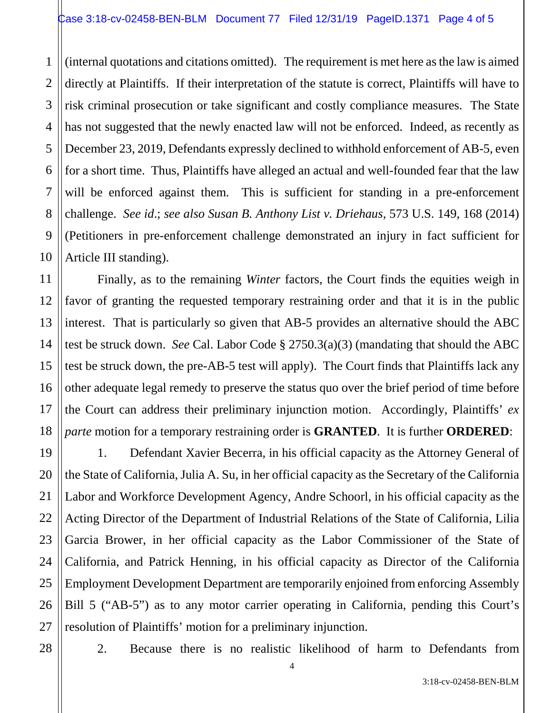3 4 5 6 8 9 10 (internal quotations and citations omitted). The requirement is met here as the law is aimed directly at Plaintiffs. If their interpretation of the statute is correct, Plaintiffs will have to risk criminal prosecution or take significant and costly compliance measures. The State has not suggested that the newly enacted law will not be enforced. Indeed, as recently as December 23, 2019, Defendants expressly declined to withhold enforcement of AB-5, even for a short time. Thus, Plaintiffs have alleged an actual and well-founded fear that the law will be enforced against them. This is sufficient for standing in a pre-enforcement challenge. *See id*.; *see also Susan B. Anthony List v. Driehaus*, 573 U.S. 149, 168 (2014) (Petitioners in pre-enforcement challenge demonstrated an injury in fact sufficient for Article III standing).

Finally, as to the remaining *Winter* factors, the Court finds the equities weigh in favor of granting the requested temporary restraining order and that it is in the public interest. That is particularly so given that AB-5 provides an alternative should the ABC test be struck down. *See* Cal. Labor Code § 2750.3(a)(3) (mandating that should the ABC test be struck down, the pre-AB-5 test will apply). The Court finds that Plaintiffs lack any other adequate legal remedy to preserve the status quo over the brief period of time before the Court can address their preliminary injunction motion. Accordingly, Plaintiffs' *ex parte* motion for a temporary restraining order is **GRANTED**. It is further **ORDERED**:

19 20 21 22 23 24 25 26 27 1. Defendant Xavier Becerra, in his official capacity as the Attorney General of the State of California, Julia A. Su, in her official capacity as the Secretary of the California Labor and Workforce Development Agency, Andre Schoorl, in his official capacity as the Acting Director of the Department of Industrial Relations of the State of California, Lilia Garcia Brower, in her official capacity as the Labor Commissioner of the State of California, and Patrick Henning, in his official capacity as Director of the California Employment Development Department are temporarily enjoined from enforcing Assembly Bill 5 ("AB-5") as to any motor carrier operating in California, pending this Court's resolution of Plaintiffs' motion for a preliminary injunction.

28

1

2

7

11

12

13

14

15

16

17

18

2. Because there is no realistic likelihood of harm to Defendants from